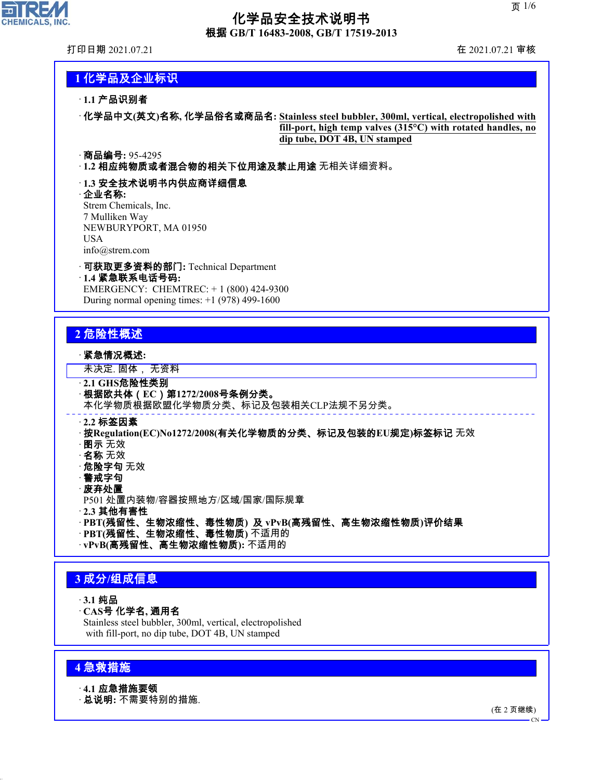

### 化学品安全技术说明书 根据 **GB/T 16483-2008, GB/T 17519-2013**

打印日期 2021.07.21 在 2021.07.21 审核

### **1** 化学品及企业标识

#### · **1.1** 产品识别者

· 化学品中文**(**英文**)**名称**,** 化学品俗名或商品名**: Stainless steel bubbler, 300ml, vertical, electropolished with fill-port, high temp valves (315°C) with rotated handles, no dip tube, DOT 4B, UN stamped**

#### · 商品编号**:** 95-4295

· **1.2** 相应纯物质或者混合物的相关下位用途及禁止用途 无相关详细资料。

#### · **1.3** 安全技术说明书内供应商详细信息

#### · 企业名称**:**

Strem Chemicals, Inc. 7 Mulliken Way NEWBURYPORT, MA 01950 USA info@strem.com

· 可获取更多资料的部门**:** Technical Department · **1.4** 紧急联系电话号码**:** EMERGENCY: CHEMTREC: + 1 (800) 424-9300

During normal opening times:  $+1$  (978) 499-1600

### **2** 危险性概述

#### · 紧急情况概述**:**

未决定. 固体, 无资料

- · **2.1 GHS**危险性类别 · 根据欧共体(**EC**)第**1272/2008**号条例分类。 本化学物质根据欧盟化学物质分类、标记及包装相关CLP法规不另分类。 · **2.2** 标签因素 · 按**Regulation(EC)No1272/2008(**有关化学物质的分类、标记及包装的**EU**规定**)**标签标记 无效 · 图示 无效 · 名称 无效 · 危险字句 无效 · 警戒字句 · 废弃处置 P501 处置内装物/容器按照地方/区域/国家/国际规章 · **2.3** 其他有害性 · **PBT(**残留性、生物浓缩性、毒性物质**)** 及 **vPvB(**高残留性、高生物浓缩性物质**)**评价结果
	-
	- · **PBT(**残留性、生物浓缩性、毒性物质**)** 不适用的
	- · **vPvB(**高残留性、高生物浓缩性物质**):** 不适用的

### **3** 成分**/**组成信息

- · **3.1** 纯品
- · **CAS**号 化学名**,** 通用名

Stainless steel bubbler, 300ml, vertical, electropolished with fill-port, no dip tube, DOT 4B, UN stamped

### **4** 急救措施

44.1.1

· **4.1** 应急措施要领

· 总说明**:** 不需要特别的措施.

(在 2 页继续)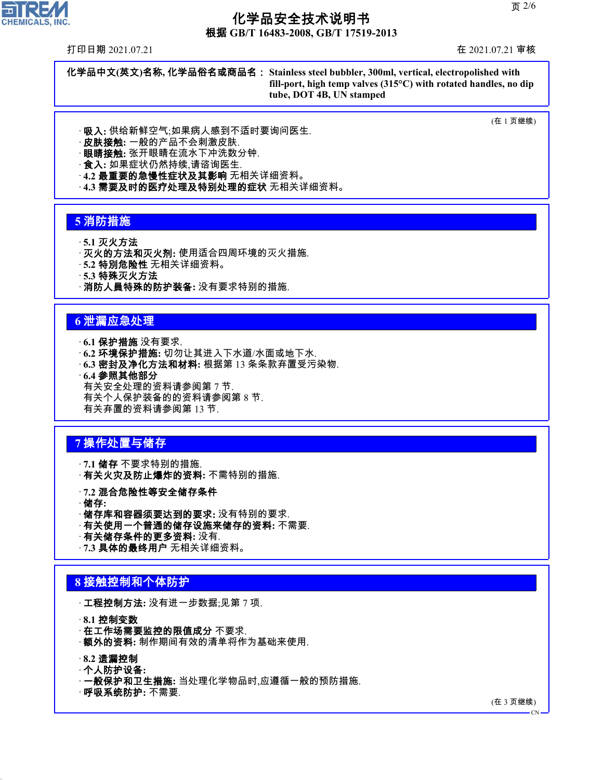根据 **GB/T 16483-2008, GB/T 17519-2013**

打印日期 2021.07.21 在 2021.07.21 审核

化学品中文**(**英文**)**名称**,** 化学品俗名或商品名: **Stainless steel bubbler, 300ml, vertical, electropolished with fill-port, high temp valves (315°C) with rotated handles, no dip tube, DOT 4B, UN stamped**

(在 1 页继续)

- · 吸入**:** 供给新鲜空气;如果病人感到不适时要询问医生.
- · 皮肤接触**:** 一般的产品不会刺激皮肤.
- · 眼睛接触**:** 张开眼睛在流水下冲洗数分钟.
- · 食入**:** 如果症状仍然持续,请谘询医生.
- · **4.2** 最重要的急慢性症状及其影响 无相关详细资料。
- · **4.3** 需要及时的医疗处理及特别处理的症状 无相关详细资料。

### **5** 消防措施

- · **5.1** 灭火方法
- · 灭火的方法和灭火剂**:** 使用适合四周环境的灭火措施.
- · **5.2** 特別危险性 无相关详细资料。
- · **5.3** 特殊灭火方法
- · 消防人員特殊的防护装备**:** 没有要求特别的措施.

### **6** 泄漏应急处理

- · **6.1** 保护措施 没有要求.
- · **6.2** 环境保护措施**:** 切勿让其进入下水道/水面或地下水.
- · **6.3** 密封及净化方法和材料**:** 根据第 13 条条款弃置受污染物.
- · **6.4** 参照其他部分

有关安全处理的资料请参阅第 7 节. 有关个人保护装备的的资料请参阅第 8 节. 有关弃置的资料请参阅第 13 节.

### **7** 操作处置与储存

- · **7.1** 储存 不要求特别的措施. · 有关火灾及防止爆炸的资料**:** 不需特别的措施.
- · **7.2** 混合危险性等安全储存条件
- · 储存**:**
- · 储存库和容器须要达到的要求**:** 没有特别的要求.
- · 有关使用一个普通的储存设施来储存的资料**:** 不需要.
- · 有关储存条件的更多资料**:** 没有.
- · **7.3** 具体的最终用户 无相关详细资料。

### **8** 接触控制和个体防护

· 工程控制方法**:** 没有进一步数据;见第 7 项.

· **8.1** 控制变数

- · **在工作场需要监控的限值成分** 不要求.
- · 额外的资料**:** 制作期间有效的清单将作为基础来使用.

#### · **8.2** 遗漏控制

44.1.1

- · 个人防护设备**:**
- · 一般保护和卫生措施**:** 当处理化学物品时,应遵循一般的预防措施.
- · 呼吸系统防护**:** 不需要.

(在 3 页继续)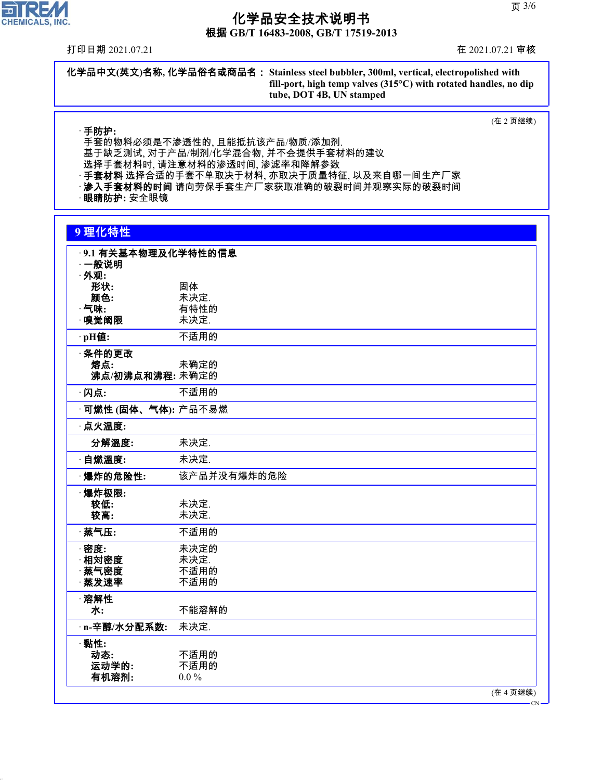根据 **GB/T 16483-2008, GB/T 17519-2013**

打印日期 2021.07.21 在 2021.07.21 审核

化学品中文**(**英文**)**名称**,** 化学品俗名或商品名: **Stainless steel bubbler, 300ml, vertical, electropolished with fill-port, high temp valves (315°C) with rotated handles, no dip tube, DOT 4B, UN stamped**

(在 2 页继续)

· 手防护**:**

手套的物料必须是不渗透性的, 且能抵抗该产品/物质/添加剂. 基于缺乏测试, 对于产品/制剂/化学混合物, 并不会提供手套材料的建议 选择手套材料时, 请注意材料的渗透时间, 渗滤率和降解参数 · **手套材料** 选择合适的手套不单取决于材料, 亦取决于质量特征, 以及来自哪一间生产厂家 · **渗入手套材料的时间** 请向劳保手套生产厂家获取准确的破裂时间并观察实际的破裂时间

**眼睛防护**: 安全眼镜

#### **9** 理化特性

| ·9.1 有关基本物理及化学特性的信息<br>⋯一般说明<br>· 外观: |             |
|---------------------------------------|-------------|
| 形状:                                   | 固体          |
| 颜色:                                   | 未决定.        |
| $\cdot$ 气味:                           | 有特性的        |
|                                       |             |
| ·嗅觉阈限                                 | 未决定.        |
| ·pH值:                                 | 不适用的        |
| ·条件的更改                                |             |
| 熔点:                                   | 未确定的        |
| 沸点/初沸点和沸程:未确定的                        |             |
|                                       |             |
| ·闪点:                                  | 不适用的        |
| · <b>可燃性 (固体、气体):</b> 产品不易燃           |             |
| · 点火温度:                               |             |
| 分解温度:                                 | 未决定.        |
| • 自燃溫度:                               | 未决定.        |
| ·爆炸的危险性:                              | 该产品并没有爆炸的危险 |
| 爆炸极限:                                 |             |
| 较低:                                   | 未决定.        |
| 较高:                                   | 未决定.        |
|                                       |             |
| 蒸气压:                                  | 不适用的        |
| ·密度:                                  | 未决定的        |
| 相対密度                                  | 未决定.        |
| · 蒸气密度                                | 不适用的        |
|                                       |             |
| 蒸发速率                                  | 不适用的        |
| ·溶解性                                  |             |
| 水:                                    | 不能溶解的       |
| · n-辛醇/水分配系数:                         | 未决定.        |
| ·黏性:                                  |             |
| 动态:                                   | 不适用的        |
|                                       |             |
| 运动学的:                                 | 不适用的        |
| 有机溶剂:                                 | $0.0\%$     |
|                                       | (在 4 页继续)   |
|                                       |             |

 $\overline{\mathbf{r}}$ **CHEMICALS, INC.** 

44.1.1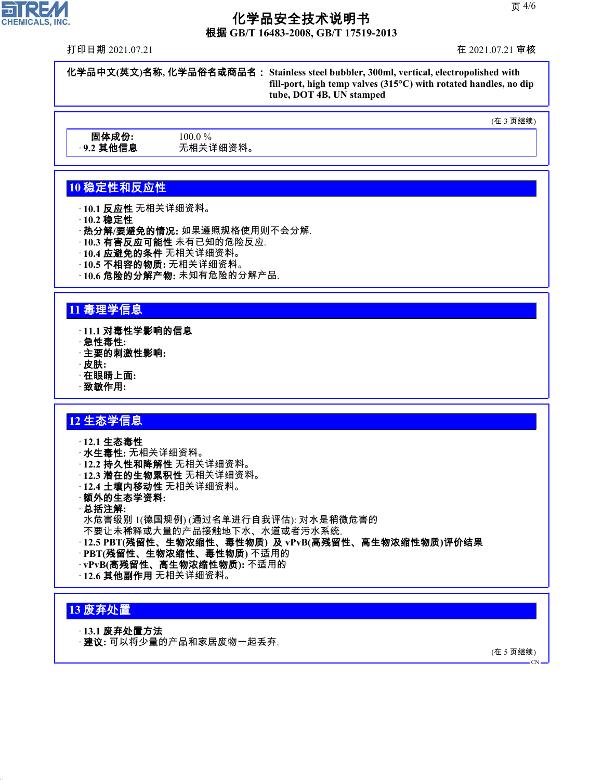根据 **GB/T 16483-2008, GB/T 17519-2013**

打印日期 2021.07.21 在 2021.07.21 审核

化学品中文**(**英文**)**名称**,** 化学品俗名或商品名: **Stainless steel bubbler, 300ml, vertical, electropolished with fill-port, high temp valves (315°C) with rotated handles, no dip tube, DOT 4B, UN stamped**

(在 3 页继续)

固体成份**:** 100.0 % · **9.2** 其他信息 无相关详细资料。

### **10** 稳定性和反应性

· **10.1** 反应性 无相关详细资料。

· **10.2** 稳定性

· 热分解**/**要避免的情况**:** 如果遵照规格使用则不会分解.

- · **10.3** 有害反应可能性 未有已知的危险反应.
- · **10.4** 应避免的条件 无相关详细资料。
- · **10.5** 不相容的物质**:** 无相关详细资料。
- · **10.6** 危险的分解产物**:** 未知有危险的分解产品.

### **11** 毒理学信息

- · **11.1** 对毒性学影响的信息
- · 急性毒性**:**
- · 主要的刺激性影响**:**
- · 皮肤**:**
- · 在眼睛上面**:**
- · 致敏作用**:**

### **12** 生态学信息

- · **12.1** 生态毒性 · 水生毒性**:** 无相关详细资料。
- · **12.2** 持久性和降解性 无相关详细资料。
- · **12.3** 潜在的生物累积性 无相关详细资料。
- · **12.4** 土壤内移动性 无相关详细资料。
- · 额外的生态学资料**:**
- · 总括注解**:**

水危害级别 1(德国规例) (通过名单进行自我评估): 对水是稍微危害的

- 不要让未稀释或大量的产品接触地下水、水道或者污水系统.
- · **12.5 PBT(**残留性、生物浓缩性、毒性物质**)** 及 **vPvB(**高残留性、高生物浓缩性物质**)**评价结果
- · **PBT(**残留性、生物浓缩性、毒性物质**)** 不适用的
- · **vPvB(**高残留性、高生物浓缩性物质**):** 不适用的
- · **12.6** 其他副作用 无相关详细资料。

### **13** 废弃处置

44.1.1

- · **13.1** 废弃处置方法
- · 建议**:** 可以将少量的产品和家居废物一起丢弃.

(在 5 页继续)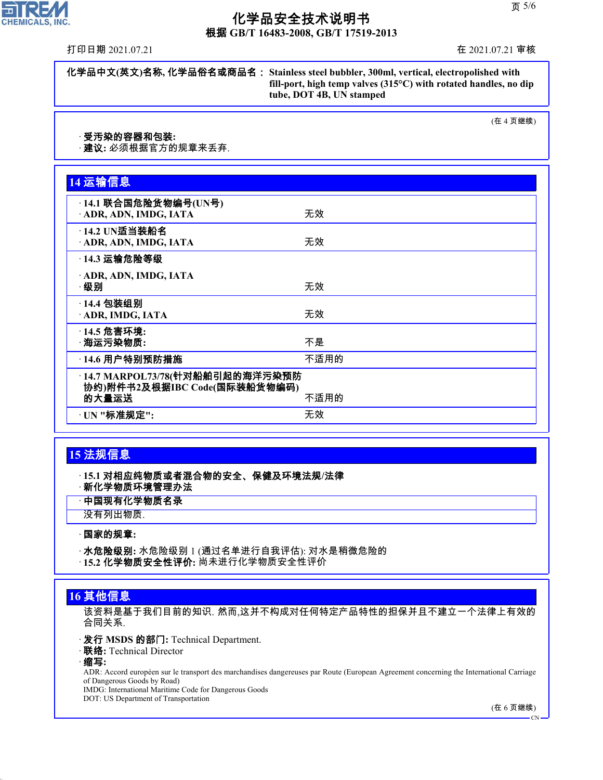根据 **GB/T 16483-2008, GB/T 17519-2013**

打印日期 2021.07.21 在 2021.07.21 审核

化学品中文**(**英文**)**名称**,** 化学品俗名或商品名: **Stainless steel bubbler, 300ml, vertical, electropolished with fill-port, high temp valves (315°C) with rotated handles, no dip tube, DOT 4B, UN stamped**

(在 4 页继续)

#### · 受汚染的容器和包装**:**

· 建议**:** 必须根据官方的规章来丢弃.

| 14 运输信息                                                                          |      |  |
|----------------------------------------------------------------------------------|------|--|
| ·14.1 联合国危险货物编号(UN号)<br>ADR, ADN, IMDG, IATA                                     | 无效   |  |
| · 14.2 UN适当装船名<br>· ADR, ADN, IMDG, IATA                                         | 无效   |  |
| <b>14.3 运输危险等级</b>                                                               |      |  |
| · ADR, ADN, IMDG, IATA<br>·级别                                                    | 无效   |  |
| · 14.4 包装组别<br>ADR, IMDG, IATA                                                   | 无效   |  |
| · 14.5 危害环境:<br>· 海运污染物质:                                                        | 不是   |  |
| <b>〔14.6 用户特别预防措施</b>                                                            | 不适用的 |  |
| ·14.7 MARPOL73/78(针对船舶引起的海洋污染预防<br>协约)附件书2及根据IBC Code(国际装船货物编码)<br>的大量运送<br>不适用的 |      |  |
| · UN "标准规定":                                                                     | 无效   |  |

### **15** 法规信息

· **15.1** 对相应纯物质或者混合物的安全、保健及环境法规**/**法律 · 新化学物质环境管理办法

· 中国现有化学物质名录

没有列出物质.

#### · 国家的规章**:**

· 水危险级别**:** 水危险级别 1 (通过名单进行自我评估): 对水是稍微危险的

· **15.2** 化学物质安全性评价**:** 尚未进行化学物质安全性评价

### **16** 其他信息

该资料是基于我们目前的知识. 然而,这并不构成对任何特定产品特性的担保并且不建立一个法律上有效的 合同关系.

- · 发行 **MSDS** 的部门**:** Technical Department.
- · 联络**:** Technical Director
- · 缩写**:**

44.1.1

ADR: Accord européen sur le transport des marchandises dangereuses par Route (European Agreement concerning the International Carriage of Dangerous Goods by Road)

IMDG: International Maritime Code for Dangerous Goods

DOT: US Department of Transportation

(在 6 页继续)